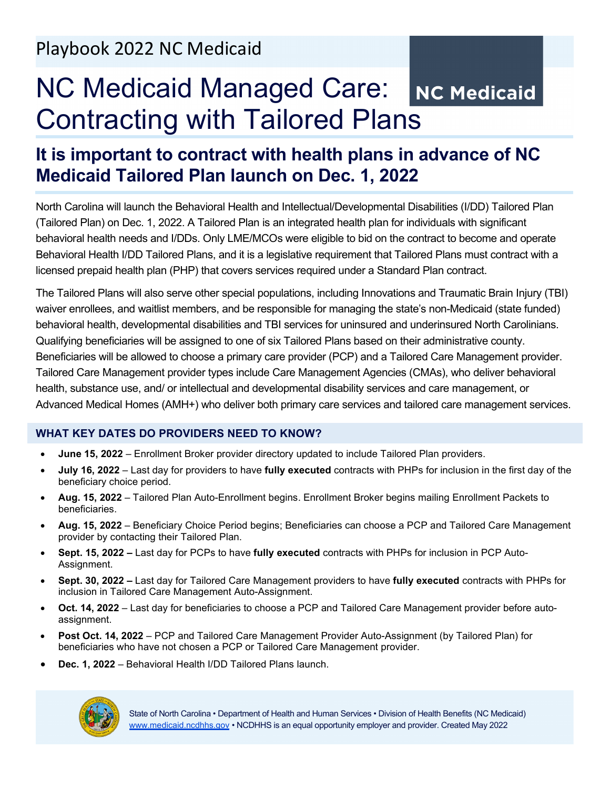# NC Medicaid Managed Care: NC Medicaid Contracting with Tailored Plans

# **It is important to contract with health plans in advance of NC Medicaid Tailored Plan launch on Dec. 1, 2022**

North Carolina will launch the Behavioral Health and Intellectual/Developmental Disabilities (I/DD) Tailored Plan (Tailored Plan) on Dec. 1, 2022. A Tailored Plan is an integrated health plan for individuals with significant behavioral health needs and I/DDs. Only LME/MCOs were eligible to bid on the contract to become and operate Behavioral Health I/DD Tailored Plans, and it is a legislative requirement that Tailored Plans must contract with a licensed prepaid health plan (PHP) that covers services required under a Standard Plan contract.

The Tailored Plans will also serve other special populations, including Innovations and Traumatic Brain Injury (TBI) waiver enrollees, and waitlist members, and be responsible for managing the state's non-Medicaid (state funded) behavioral health, developmental disabilities and TBI services for uninsured and underinsured North Carolinians. Qualifying beneficiaries will be assigned to one of six Tailored Plans based on their administrative county. Beneficiaries will be allowed to choose a primary care provider (PCP) and a Tailored Care Management provider. Tailored Care Management provider types include Care Management Agencies (CMAs), who deliver behavioral health, substance use, and/ or intellectual and developmental disability services and care management, or Advanced Medical Homes (AMH+) who deliver both primary care services and tailored care management services.

# **WHAT KEY DATES DO PROVIDERS NEED TO KNOW?**

- **June 15, 2022**  Enrollment Broker provider directory updated to include Tailored Plan providers.
- **July 16, 2022**  Last day for providers to have **fully executed** contracts with PHPs for inclusion in the first day of the beneficiary choice period.
- **Aug. 15, 2022** Tailored Plan Auto-Enrollment begins. Enrollment Broker begins mailing Enrollment Packets to beneficiaries.
- **Aug. 15, 2022** Beneficiary Choice Period begins; Beneficiaries can choose a PCP and Tailored Care Management provider by contacting their Tailored Plan.
- **Sept. 15, 2022** Last day for PCPs to have **fully executed** contracts with PHPs for inclusion in PCP Auto-Assignment.
- **Sept. 30, 2022** Last day for Tailored Care Management providers to have **fully executed** contracts with PHPs for inclusion in Tailored Care Management Auto-Assignment.
- **Oct. 14, 2022** Last day for beneficiaries to choose a PCP and Tailored Care Management provider before autoassignment.
- **Post Oct. 14, 2022** PCP and Tailored Care Management Provider Auto-Assignment (by Tailored Plan) for beneficiaries who have not chosen a PCP or Tailored Care Management provider.
- **Dec. 1, 2022** Behavioral Health I/DD Tailored Plans launch.

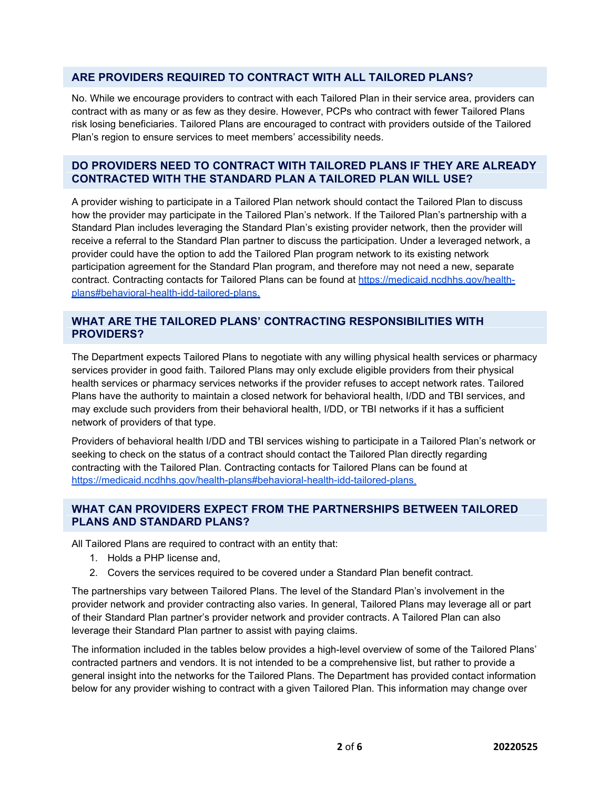# **ARE PROVIDERS REQUIRED TO CONTRACT WITH ALL TAILORED PLANS?**

No. While we encourage providers to contract with each Tailored Plan in their service area, providers can contract with as many or as few as they desire. However, PCPs who contract with fewer Tailored Plans risk losing beneficiaries. Tailored Plans are encouraged to contract with providers outside of the Tailored Plan's region to ensure services to meet members' accessibility needs.

# **DO PROVIDERS NEED TO CONTRACT WITH TAILORED PLANS IF THEY ARE ALREADY CONTRACTED WITH THE STANDARD PLAN A TAILORED PLAN WILL USE?**

A provider wishing to participate in a Tailored Plan network should contact the Tailored Plan to discuss how the provider may participate in the Tailored Plan's network. If the Tailored Plan's partnership with a Standard Plan includes leveraging the Standard Plan's existing provider network, then the provider will receive a referral to the Standard Plan partner to discuss the participation. Under a leveraged network, a provider could have the option to add the Tailored Plan program network to its existing network participation agreement for the Standard Plan program, and therefore may not need a new, separate contract. Contracting contacts for Tailored Plans can be found at [https://medicaid.ncdhhs.gov/health](https://medicaid.ncdhhs.gov/health-plans#behavioral-health-idd-tailored-plans)[plans#behavioral-health-idd-tailored-plans.](https://medicaid.ncdhhs.gov/health-plans#behavioral-health-idd-tailored-plans)

# **WHAT ARE THE TAILORED PLANS' CONTRACTING RESPONSIBILITIES WITH PROVIDERS?**

The Department expects Tailored Plans to negotiate with any willing physical health services or pharmacy services provider in good faith. Tailored Plans may only exclude eligible providers from their physical health services or pharmacy services networks if the provider refuses to accept network rates. Tailored Plans have the authority to maintain a closed network for behavioral health, I/DD and TBI services, and may exclude such providers from their behavioral health, I/DD, or TBI networks if it has a sufficient network of providers of that type.

Providers of behavioral health I/DD and TBI services wishing to participate in a Tailored Plan's network or seeking to check on the status of a contract should contact the Tailored Plan directly regarding contracting with the Tailored Plan. Contracting contacts for Tailored Plans can be found at [https://medicaid.ncdhhs.gov/health-plans#behavioral-health-idd-tailored-plans.](https://medicaid.ncdhhs.gov/health-plans#behavioral-health-idd-tailored-plans)

# **WHAT CAN PROVIDERS EXPECT FROM THE PARTNERSHIPS BETWEEN TAILORED PLANS AND STANDARD PLANS?**

All Tailored Plans are required to contract with an entity that:

- 1. Holds a PHP license and,
- 2. Covers the services required to be covered under a Standard Plan benefit contract.

The partnerships vary between Tailored Plans. The level of the Standard Plan's involvement in the provider network and provider contracting also varies. In general, Tailored Plans may leverage all or part of their Standard Plan partner's provider network and provider contracts. A Tailored Plan can also leverage their Standard Plan partner to assist with paying claims.

The information included in the tables below provides a high-level overview of some of the Tailored Plans' contracted partners and vendors. It is not intended to be a comprehensive list, but rather to provide a general insight into the networks for the Tailored Plans. The Department has provided contact information below for any provider wishing to contract with a given Tailored Plan. This information may change over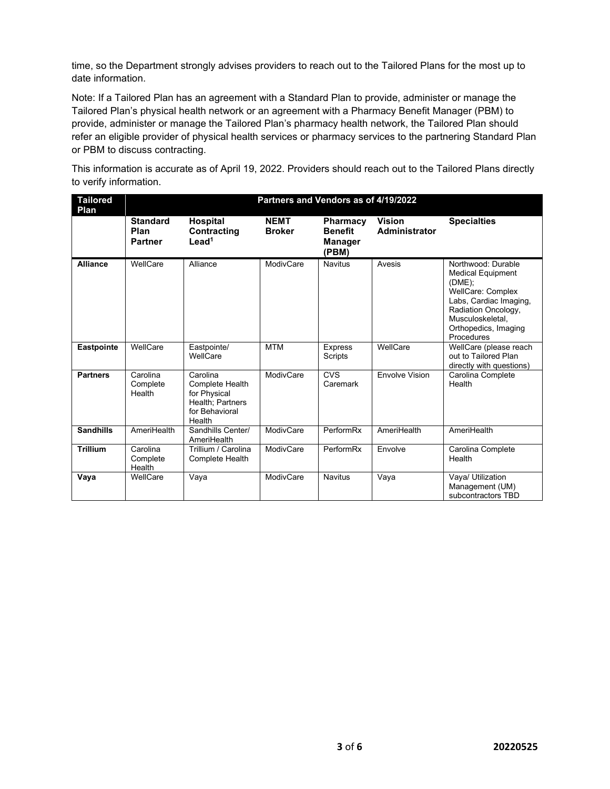time, so the Department strongly advises providers to reach out to the Tailored Plans for the most up to date information.

Note: If a Tailored Plan has an agreement with a Standard Plan to provide, administer or manage the Tailored Plan's physical health network or an agreement with a Pharmacy Benefit Manager (PBM) to provide, administer or manage the Tailored Plan's pharmacy health network, the Tailored Plan should refer an eligible provider of physical health services or pharmacy services to the partnering Standard Plan or PBM to discuss contracting.

This information is accurate as of April 19, 2022. Providers should reach out to the Tailored Plans directly to verify information.

| <b>Tailored</b><br>Plan | Partners and Vendors as of 4/19/2022      |                                                                                                    |                              |                                                              |                                |                                                                                                                                                                                                    |  |  |  |
|-------------------------|-------------------------------------------|----------------------------------------------------------------------------------------------------|------------------------------|--------------------------------------------------------------|--------------------------------|----------------------------------------------------------------------------------------------------------------------------------------------------------------------------------------------------|--|--|--|
|                         | <b>Standard</b><br>Plan<br><b>Partner</b> | <b>Hospital</b><br>Contracting<br>$L$ ead <sup>1</sup>                                             | <b>NEMT</b><br><b>Broker</b> | <b>Pharmacy</b><br><b>Benefit</b><br><b>Manager</b><br>(PBM) | <b>Vision</b><br>Administrator | <b>Specialties</b>                                                                                                                                                                                 |  |  |  |
| <b>Alliance</b>         | WellCare                                  | Alliance                                                                                           | ModivCare                    | <b>Navitus</b>                                               | Avesis                         | Northwood: Durable<br><b>Medical Equipment</b><br>$(DME)$ ;<br><b>WellCare: Complex</b><br>Labs, Cardiac Imaging,<br>Radiation Oncology,<br>Musculoskeletal.<br>Orthopedics, Imaging<br>Procedures |  |  |  |
| Eastpointe              | WellCare                                  | Eastpointe/<br>WellCare                                                                            | <b>MTM</b>                   | <b>Express</b><br>Scripts                                    | WellCare                       | WellCare (please reach<br>out to Tailored Plan<br>directly with questions)                                                                                                                         |  |  |  |
| <b>Partners</b>         | Carolina<br>Complete<br>Health            | Carolina<br><b>Complete Health</b><br>for Physical<br>Health: Partners<br>for Behavioral<br>Health | ModivCare                    | CVS<br>Caremark                                              | Envolve Vision                 | Carolina Complete<br>Health                                                                                                                                                                        |  |  |  |
| <b>Sandhills</b>        | AmeriHealth                               | Sandhills Center/<br>AmeriHealth                                                                   | ModivCare                    | PerformRx                                                    | AmeriHealth                    | AmeriHealth                                                                                                                                                                                        |  |  |  |
| <b>Trillium</b>         | Carolina<br>Complete<br>Health            | Trillium / Carolina<br>Complete Health                                                             | ModivCare                    | PerformRx                                                    | Envolve                        | Carolina Complete<br>Health                                                                                                                                                                        |  |  |  |
| Vaya                    | WellCare                                  | Vaya                                                                                               | ModivCare                    | <b>Navitus</b>                                               | Vaya                           | Vaya/ Utilization<br>Management (UM)<br>subcontractors TBD                                                                                                                                         |  |  |  |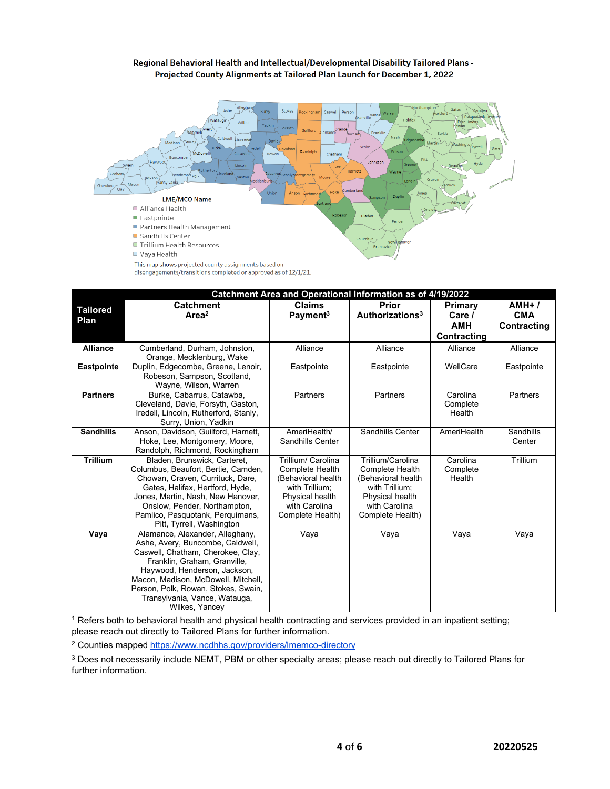#### Regional Behavioral Health and Intellectual/Developmental Disability Tailored Plans -Projected County Alignments at Tailored Plan Launch for December 1, 2022



|                         | This map shows projected county assignments based on<br>disengagements/transitions completed or approved as of 12/1/21.                                                                                                                                                                                   |                                                                                                                                               |                                                                                                                                             |                                                |                                      |
|-------------------------|-----------------------------------------------------------------------------------------------------------------------------------------------------------------------------------------------------------------------------------------------------------------------------------------------------------|-----------------------------------------------------------------------------------------------------------------------------------------------|---------------------------------------------------------------------------------------------------------------------------------------------|------------------------------------------------|--------------------------------------|
| <b>Tailored</b><br>Plan | <b>Catchment</b><br>Area <sup>2</sup>                                                                                                                                                                                                                                                                     | <b>Claims</b><br>Payment <sup>3</sup>                                                                                                         | Catchment Area and Operational Information as of 4/19/2022<br>Prior<br>Authorizations <sup>3</sup>                                          | Primary<br>Care /<br><b>AMH</b><br>Contracting | $AMH+l$<br><b>CMA</b><br>Contracting |
| <b>Alliance</b>         | Cumberland, Durham, Johnston,<br>Orange, Mecklenburg, Wake                                                                                                                                                                                                                                                | Alliance                                                                                                                                      | Alliance                                                                                                                                    | Alliance                                       | Alliance                             |
| Eastpointe              | Duplin, Edgecombe, Greene, Lenoir,<br>Robeson, Sampson, Scotland,<br>Wayne, Wilson, Warren                                                                                                                                                                                                                | Eastpointe                                                                                                                                    | Eastpointe                                                                                                                                  | WellCare                                       | Eastpointe                           |
| <b>Partners</b>         | Burke, Cabarrus, Catawba,<br>Cleveland, Davie, Forsyth, Gaston,<br>Iredell, Lincoln, Rutherford, Stanly,<br>Surry, Union, Yadkin                                                                                                                                                                          | Partners                                                                                                                                      | Partners                                                                                                                                    | Carolina<br>Complete<br>Health                 | Partners                             |
| <b>Sandhills</b>        | Anson, Davidson, Guilford, Harnett,<br>Hoke, Lee, Montgomery, Moore,<br>Randolph, Richmond, Rockingham                                                                                                                                                                                                    | AmeriHealth/<br>Sandhills Center                                                                                                              | Sandhills Center                                                                                                                            | AmeriHealth                                    | Sandhills<br>Center                  |
| <b>Trillium</b>         | Bladen, Brunswick, Carteret,<br>Columbus, Beaufort, Bertie, Camden,<br>Chowan, Craven, Currituck, Dare,<br>Gates, Halifax, Hertford, Hyde,<br>Jones, Martin, Nash, New Hanover,<br>Onslow, Pender, Northampton,<br>Pamlico, Pasquotank, Perquimans,<br>Pitt, Tyrrell, Washington                          | Trillium/ Carolina<br><b>Complete Health</b><br>(Behavioral health)<br>with Trillium:<br>Physical health<br>with Carolina<br>Complete Health) | Trillium/Carolina<br><b>Complete Health</b><br>(Behavioral health<br>with Trillium;<br>Physical health<br>with Carolina<br>Complete Health) | Carolina<br>Complete<br>Health                 | Trillium                             |
| Vaya                    | Alamance, Alexander, Alleghany,<br>Ashe, Avery, Buncombe, Caldwell,<br>Caswell, Chatham, Cherokee, Clay,<br>Franklin, Graham, Granville,<br>Haywood, Henderson, Jackson,<br>Macon, Madison, McDowell, Mitchell,<br>Person, Polk, Rowan, Stokes, Swain,<br>Transylvania, Vance, Watauga,<br>Wilkes, Yancey | Vaya                                                                                                                                          | Vaya                                                                                                                                        | Vaya                                           | Vaya                                 |

<sup>1</sup> Refers both to behavioral health and physical health contracting and services provided in an inpatient setting; please reach out directly to Tailored Plans for further information.

<sup>2</sup> Counties mapped https://www.ncdhhs.gov/providers/lmemco-directory

<sup>3</sup> Does not necessarily include NEMT, PBM or other specialty areas; please reach out directly to Tailored Plans for further information.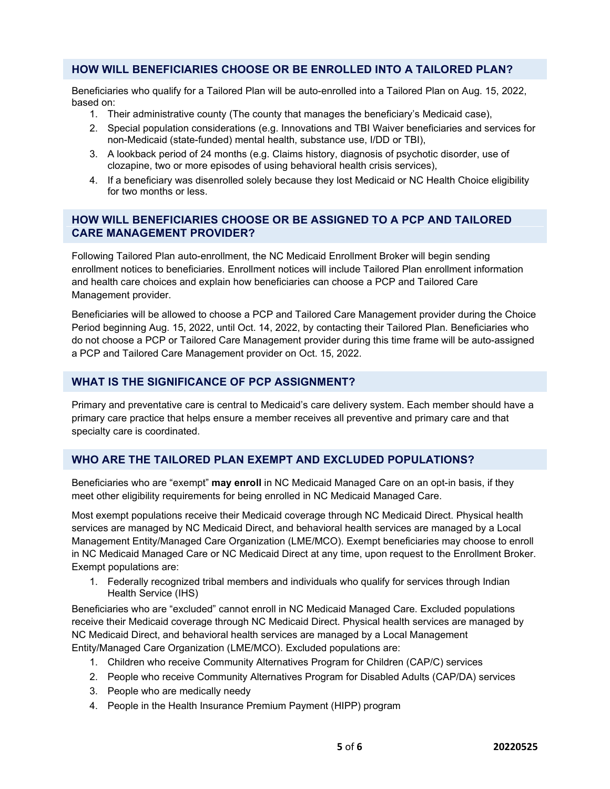# **HOW WILL BENEFICIARIES CHOOSE OR BE ENROLLED INTO A TAILORED PLAN?**

Beneficiaries who qualify for a Tailored Plan will be auto-enrolled into a Tailored Plan on Aug. 15, 2022, based on:

- 1. Their administrative county (The county that manages the beneficiary's Medicaid case),
- 2. Special population considerations (e.g. Innovations and TBI Waiver beneficiaries and services for non-Medicaid (state-funded) mental health, substance use, I/DD or TBI),
- 3. A lookback period of 24 months (e.g. Claims history, diagnosis of psychotic disorder, use of clozapine, two or more episodes of using behavioral health crisis services),
- 4. If a beneficiary was disenrolled solely because they lost Medicaid or NC Health Choice eligibility for two months or less.

# **HOW WILL BENEFICIARIES CHOOSE OR BE ASSIGNED TO A PCP AND TAILORED CARE MANAGEMENT PROVIDER?**

Following Tailored Plan auto-enrollment, the NC Medicaid Enrollment Broker will begin sending enrollment notices to beneficiaries. Enrollment notices will include Tailored Plan enrollment information and health care choices and explain how beneficiaries can choose a PCP and Tailored Care Management provider.

Beneficiaries will be allowed to choose a PCP and Tailored Care Management provider during the Choice Period beginning Aug. 15, 2022, until Oct. 14, 2022, by contacting their Tailored Plan. Beneficiaries who do not choose a PCP or Tailored Care Management provider during this time frame will be auto-assigned a PCP and Tailored Care Management provider on Oct. 15, 2022.

# **WHAT IS THE SIGNIFICANCE OF PCP ASSIGNMENT?**

Primary and preventative care is central to Medicaid's care delivery system. Each member should have a primary care practice that helps ensure a member receives all preventive and primary care and that specialty care is coordinated.

# **WHO ARE THE TAILORED PLAN EXEMPT AND EXCLUDED POPULATIONS?**

Beneficiaries who are "exempt" **may enroll** in NC Medicaid Managed Care on an opt-in basis, if they meet other eligibility requirements for being enrolled in NC Medicaid Managed Care.

Most exempt populations receive their Medicaid coverage through NC Medicaid Direct. Physical health services are managed by NC Medicaid Direct, and behavioral health services are managed by a Local Management Entity/Managed Care Organization (LME/MCO). Exempt beneficiaries may choose to enroll in NC Medicaid Managed Care or NC Medicaid Direct at any time, upon request to the Enrollment Broker. Exempt populations are:

1. Federally recognized tribal members and individuals who qualify for services through Indian Health Service (IHS)

Beneficiaries who are "excluded" cannot enroll in NC Medicaid Managed Care. Excluded populations receive their Medicaid coverage through NC Medicaid Direct. Physical health services are managed by NC Medicaid Direct, and behavioral health services are managed by a Local Management Entity/Managed Care Organization (LME/MCO). Excluded populations are:

- 1. Children who receive Community Alternatives Program for Children (CAP/C) services
- 2. People who receive Community Alternatives Program for Disabled Adults (CAP/DA) services
- 3. People who are medically needy
- 4. People in the Health Insurance Premium Payment (HIPP) program